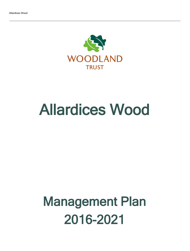

# Allardices Wood

# Management Plan 2016-2021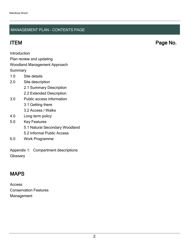### MANAGEMENT PLAN - CONTENTS PAGE

ITEM Page No.

Introduction

Plan review and updating

#### Woodland Management Approach

**Summary** 

- 1.0 Site details
- 2.0 Site description
	- 2.1 Summary Description
	- 2.2 Extended Description
- 3.0 Public access information
	- 3.1 Getting there
	- 3.2 Access / Walks
- 4.0 Long term policy
- 5.0 Key Features
	- 5.1 Natural Secondary Woodland
	- 5.2 Informal Public Access
- 6.0 Work Programme

Appendix 1: Compartment descriptions **Glossary** 

## MAPS

Access Conservation Features Management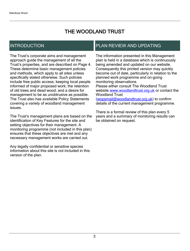## THE WOODLAND TRUST

## INTRODUCTION

The Trust's corporate aims and management approach guide the management of all the Trust's properties, and are described on Page 4. These determine basic management policies and methods, which apply to all sites unless specifically stated otherwise. Such policies include free public access; keeping local people informed of major proposed work; the retention of old trees and dead wood; and a desire for management to be as unobtrusive as possible. The Trust also has available Policy Statements covering a variety of woodland management issues.

The Trust's management plans are based on the identification of Key Features for the site and setting objectives for their management. A monitoring programme (not included in this plan) ensures that these objectives are met and any necessary management works are carried out.

Any legally confidential or sensitive species information about this site is not included in this version of the plan.

## PLAN REVIEW AND UPDATING

The information presented in this Management plan is held in a database which is continuously being amended and updated on our website. Consequently this printed version may quickly become out of date, particularly in relation to the planned work programme and on-going monitoring observations. Please either consult The Woodland Trust website [www.woodlandtrust.org.uk](http://www.woodlandtrust.org.uk/) or contact the Woodland Trust [\(wopsmail@woodlandtrust.org.uk](mailto:wopsmail@woodlandtrust.org.uk)) to confirm

details of the current management programme.

There is a formal review of this plan every 5 years and a summary of monitoring results can be obtained on request.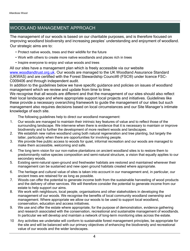## WOODLAND MANAGEMENT APPROACH

The management of our woods is based on our charitable purposes, and is therefore focused on improving woodland biodiversity and increasing peoples' understanding and enjoyment of woodland. Our strategic aims are to:

- Protect native woods, trees and their wildlife for the future
- Work with others to create more native woodlands and places rich in trees
- Inspire everyone to enjoy and value woods and trees

All our sites have a management plan which is freely accessible via our website [www.woodlandtrust.org.uk.](http://www.woodlandtrust.org.uk/) Our woods are managed to the UK Woodland Assurance Standard (UKWAS) and are certified with the Forest Stewardship Council® (FSC®) under licence FSC-C009406 and through independent audit.

In addition to the guidelines below we have specific guidance and policies on issues of woodland management which we review and update from time to time.

We recognise that all woods are different and that the management of our sites should also reflect their local landscape and where appropriate support local projects and initiatives. Guidelines like these provide a necessary overarching framework to guide the management of our sites but such management also requires decisions based on local circumstances and our Site Manager's intimate knowledge of each site.

The following guidelines help to direct our woodland management:

- 1. Our woods are managed to maintain their intrinsic key features of value and to reflect those of the surrounding landscape. We intervene when there is evidence that it is necessary to maintain or improve biodiversity and to further the development of more resilient woods and landscapes.
- 2. We establish new native woodland using both natural regeneration and tree planting, but largely the latter, particularly when there are opportunities for involving people.
- 3. We provide free public access to woods for quiet, informal recreation and our woods are managed to make them accessible, welcoming and safe.
- 4. The long term vision for our non-native plantations on ancient woodland sites is to restore them to predominantly native species composition and semi-natural structure, a vision that equally applies to our secondary woods.
- 5. Existing semi-natural open-ground and freshwater habitats are restored and maintained wherever their management can be sustained and new open ground habitats created where appropriate.
- 6. The heritage and cultural value of sites is taken into account in our management and, in particular, our ancient trees are retained for as long as possible.
- 7. Woods can offer the potential to generate income both from the sustainable harvesting of wood products and the delivery of other services. We will therefore consider the potential to generate income from our estate to help support our aims.
- 8. We work with neighbours, local people, organisations and other stakeholders in developing the management of our woods. We recognise the benefits of local community woodland ownership and management. Where appropriate we allow our woods to be used to support local woodland, conservation, education and access initiatives.
- 9. We use and offer the estate where appropriate, for the purpose of demonstration, evidence gathering and research associated with the conservation, recreational and sustainable management of woodlands. In particular we will develop and maintain a network of long-term monitoring sites across the estate.
- 10 Any activities we undertake will conform to sustainable forest management principles, be appropriate for the site and will be balanced with our primary objectives of enhancing the biodiversity and recreational value of our woods and the wider landscapes.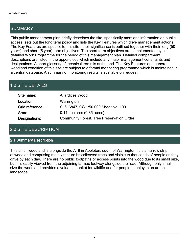## SUMMARY

This public management plan briefly describes the site, specifically mentions information on public access, sets out the long term policy and lists the Key Features which drive management actions. The Key Features are specific to this site - their significance is outlined together with their long (50 year+) and short (5 year) term objectives. The short term objectives are complemented by a detailed Work Programme for the period of this management plan. Detailed compartment descriptions are listed in the appendices which include any major management constraints and designations. A short glossary of technical terms is at the end. The Key Features and general woodland condition of this site are subject to a formal monitoring programme which is maintained in a central database. A summary of monitoring results is available on request.

## 1.0 SITE DETAILS

| Site name:      | <b>Allardices Wood</b>                           |
|-----------------|--------------------------------------------------|
| Location:       | Warrington                                       |
| Grid reference: | SJ616847, OS 1:50,000 Sheet No. 109              |
| Area:           | $0.14$ hectares $(0.35$ acres)                   |
| Designations:   | <b>Community Forest, Tree Preservation Order</b> |

## 2.0 SITE DESCRIPTION

#### 2.1 Summary Description

This small woodland is alongside the A49 in Appleton, south of Warrington. It is a narrow strip of woodland comprising mainly mature broadleaved trees and visible to thousands of people as they drive by each day. There are no public footpaths or access points into the wood due to its small size, but it is easily viewed from the adjoining tarmac footway alongside the road. Although only small in size the woodland provides a valuable habitat for wildlife and for people to enjoy in an urban landscape.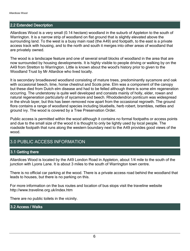#### 2.2 Extended Description

Allardices Wood is a very small (0.14 hectare) woodland in the suburb of Appleton to the south of Warrington. It is a narrow strip of woodland on flat ground that is slightly elevated above the surrounding land. To the west is a busy main road (the A49) and footpath, to the east is a private access track with housing, and to the north and south it merges into other areas of woodland that are privately owned.

The wood is a landscape feature and one of several small blocks of woodland in the area that are now surrounded by housing developments. It is highly visible to people driving or walking by on the A49 from Stretton to Warrington. Little is known about the wood's history prior to given to the Woodland Trust by Mr Allardice who lived locally.

It is secondary broadleaved woodland consisting of mature trees, predominantly sycamore and oak with occasional beech, lime, horse chestnut and Scots pine. Elm was a component of the canopy but these died from Dutch elm disease and had to be felled although there is some elm regeneration occurring. The understorey is quite well developed and consists mainly of holly, elder, rowan and natural regeneration particularly of sycamore and beech. Rhododendron ponticum was widespread in the shrub layer, but this has been removed now apart from the occasional regrowth. The ground flora contains a range of woodland species including bluebells, herb robert, brambles, nettles and ground ivy. The wood is covered by a Tree Preservation Order.

Public access is permitted within the wood although it contains no formal footpaths or access points and due to the small size of the wood it is thought to only be lightly used by local people. The roadside footpath that runs along the western boundary next to the A49 provides good views of the wood.

## 3.0 PUBLIC ACCESS INFORMATION

#### 3.1 Getting there

Allardices Wood is located by the A49 London Road in Appleton, about 1/4 mile to the south of the junction with Lyons Lane. It is about 3 miles to the south of Warrington town centre.

There is no official car parking at the wood. There is a private access road behind the woodland that leads to houses, but there is no parking on this.

For more information on the bus routes and location of bus stops visit the traveline website http://www.traveline.org.uk/index.htm

There are no public toilets in the vicinity.

#### 3.2 Access / Walks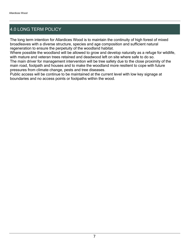## 4.0 LONG TERM POLICY

The long term intention for Allardices Wood is to maintain the continuity of high forest of mixed broadleaves with a diverse structure, species and age composition and sufficient natural regeneration to ensure the perpetuity of the woodland habitat.

Where possible the woodland will be allowed to grow and develop naturally as a refuge for wildlife, with mature and veteran trees retained and deadwood left on site where safe to do so.

The main driver for management intervention will be tree safety due to the close proximity of the main road, footpath and houses and to make the woodland more resilient to cope with future pressures from climate change, pests and tree diseases.

Public access will be continue to be maintained at the current level with low key signage at boundaries and no access points or footpaths within the wood.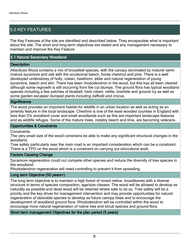## 5.0 KEY FEATURES

The Key Features of the site are identified and described below. They encapsulate what is important about the site. The short and long-term objectives are stated and any management necessary to maintain and improve the Key Feature.

#### 5.1 Natural Secondary Woodland

#### **Description**

Allardices Wood contains a mix of broadleaf species, with the canopy dominated by mature/ semimature sycamore and oak with the occasional beech, horse chestnut and pine. There is a well developed understorey of holly, rowan, hawthorn, elder and natural regeneration of young sycamore, beech and elm. There has been rhododendron in the wood, but this has all been cleared although some regrowth is still occurring from the cut stumps. The ground flora has typical woodland species including a few patches of bluebell, herb robert, nettle, bramble and ground ivy as well as some garden escapes/ dumped plants including daffodil and crocus.

#### **Significance**

The wood provides an important habitat for wildlife in an urban location as well as acting as an amenity feature in the local landscape. Cheshire is one of the least wooded counties in England with less than 5% woodland cover and small woodlands such as this are important landscape features and as wildlife refuges. Some of the mature trees, notably beech and lime, are becoming veterans.

#### Opportunities & Constraints

Constraints:

The very small size of the wood constrains be able to make any significant structural changes in the woodland.

Tree safety particularly near the main road is an important consideration which can be a constraint. There is a TPO on the wood which is a constraint on carrying out silvicultural work.

#### Factors Causing Change

Sycamore regeneration could out compete other species and reduce the diversity of tree species in the woodland.

Rhododendron regeneration will need controlling to prevent it from spreading.

#### Long term Objective (50 years+)

The long term objective is to maintain a high forest of mixed native, broadleaves with a diverse structure in terms of species composition, age/size classes. The wood will be allowed to develop as naturally as possible and dead wood will be retained where safe to do so. Tree safety will be a priority and the key driver for management intervention and may provide opportunities for natural regeneration of desirable species to develop as future canopy trees and to encourage the development of woodland ground flora. Rhododendron will be controlled within the wood to encourage more natural regeneration of native tree and shrub species and ground flora.

#### Short term management Objectives for the plan period (5 years)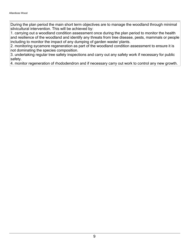During the plan period the main short term objectives are to manage the woodland through minimal silvicultural intervention. This will be achieved by:

1. carrying out a woodland condition assessment once during the plan period to monitor the health and resilience of the woodland and identify any threats from tree disease, pests, mammals or people including to monitor the impact of any dumping of garden waste/ plants.

2. monitoring sycamore regeneration as part of the woodland condition assessment to ensure it is not dominating the species composition.

3. undertaking regular tree safety inspections and carry out any safety work if necessary for public safety.

4. monitor regeneration of rhododendron and if necessary carry out work to control any new growth.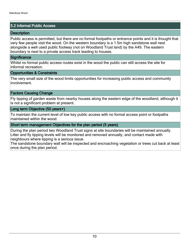#### 5.2 Informal Public Access

#### **Description**

Public access is permitted, but there are no formal footpaths or entrance points and it is thought that very few people visit the wood. On the western boundary is a 1.5m high sandstone wall next alongside a well used public footway (not on Woodland Trust land) by the A49. The eastern boundary is next to a private access track leading to houses.

#### **Significance**

Whilst no formal public access routes exist in the wood the public can still access the site for informal recreation.

#### Opportunities & Constraints

The very small size of the wood limits opportunities for increasing public access and community involvement.

#### Factors Causing Change

Fly tipping of garden waste from nearby houses along the eastern edge of the woodland, although it is not a significant problem at present.

#### Long term Objective (50 years+)

To maintain the current level of low key public access with no formal access point or footpaths maintained within the wood.

#### Short term management Objectives for the plan period (5 years)

During the plan period two Woodland Trust signs at site boundaries will be maintained annually. Litter and fly tipping levels will be monitored and removed annually, and contact made with neighbours where tipping is a serious issue.

The sandstone boundary wall will be inspected and encroaching vegetation or trees cut back at least once during the plan period.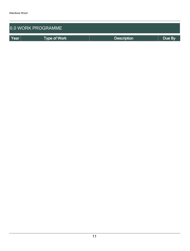| <b>6.0 WORK PROGRAMME</b> |                     |                    |        |  |  |  |  |  |  |
|---------------------------|---------------------|--------------------|--------|--|--|--|--|--|--|
| Year                      | <b>Type of Work</b> | <b>Description</b> | Due By |  |  |  |  |  |  |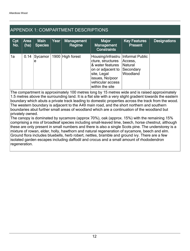## APPENDIX 1: COMPARTMENT DESCRIPTIONS

| Cpt<br>No. | Area<br>(ha) | Main<br><b>Species</b> | Year | <b>Management</b><br>Regime | <b>Major</b><br>Management<br><b>Constraints</b>                                                                                                                           | <b>Key Features</b><br><b>Present</b>       | <b>Designations</b> |
|------------|--------------|------------------------|------|-----------------------------|----------------------------------------------------------------------------------------------------------------------------------------------------------------------------|---------------------------------------------|---------------------|
| 1a         |              | $0.14$ Sycamor<br>e    |      | 1900 High forest            | Housing/infrastru   Informal Public<br>cture, structures<br>& water features<br>on or adjacent to<br>site, Legal<br>issues, No/poor<br>vehicular access<br>within the site | Access,<br>Natural<br>Secondary<br>Woodland |                     |

The compartment is approximately 100 metres long by 15 metres wide and is raised approximately 1.5 metres above the surrounding land. It is a flat site with a very slight gradient towards the eastern boundary which abuts a private track leading to domestic properties across the track from the wood. The western boundary is adjacent to the A49 main road, and the short northern and southern boundaries abut further small areas of woodland which are a continuation of the woodland but privately owned.

The canopy is dominated by sycamore (approx 70%), oak (approx. 15%) with the remaining 15% comprising a mix of broadleaf species including small-leaved lime, beech, horse chestnut, although these are only present in small numbers and there is also a single Scots pine. The understorey is a mixture of rowan, elder, holly, hawthorn and natural regeneration of sycamore, beech and elm. Ground flora includes bluebells, herb robert, nettles, bramble and ground ivy. There are a few isolated garden escapes including daffodil and crocus and a small amount of rhododendron regeneration.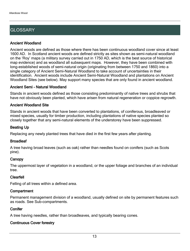## **GLOSSARY**

#### Ancient Woodland

Ancient woods are defined as those where there has been continuous woodland cover since at least 1600 AD. In Scotland ancient woods are defined strictly as sites shown as semi-natural woodland on the 'Roy' maps (a military survey carried out in 1750 AD, which is the best source of historical map evidence) and as woodland all subsequent maps. However, they have been combined with long-established woods of semi-natural origin (originating from between 1750 and 1860) into a single category of Ancient Semi-Natural Woodland to take account of uncertainties in their identification. Ancient woods include Ancient Semi-Natural Woodland and plantations on Ancient Woodland Sites (see below). May support many species that are only found in ancient woodland.

#### Ancient Semi - Natural Woodland

Stands in ancient woods defined as those consisting predominantly of native trees and shrubs that have not obviously been planted, which have arisen from natural regeneration or coppice regrowth.

#### Ancient Woodland Site

Stands in ancient woods that have been converted to plantations, of coniferous, broadleaved or mixed species, usually for timber production, including plantations of native species planted so closely together that any semi-natural elements of the understorey have been suppressed.

#### Beating Up

Replacing any newly planted trees that have died in the first few years after planting.

#### **Broadleaf**

A tree having broad leaves (such as oak) rather than needles found on conifers (such as Scots pine).

#### **Canopy**

The uppermost layer of vegetation in a woodland, or the upper foliage and branches of an individual tree.

#### Clearfell

Felling of all trees within a defined area.

#### **Compartment**

Permanent management division of a woodland, usually defined on site by permanent features such as roads. See Sub-compartments.

#### **Conifer**

A tree having needles, rather than broadleaves, and typically bearing cones.

#### Continuous Cover forestry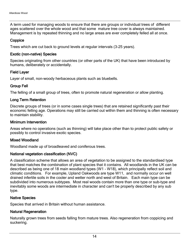A term used for managing woods to ensure that there are groups or individual trees of different ages scattered over the whole wood and that some mature tree cover is always maintained. Management is by repeated thinning and no large areas are ever completely felled all at once.

#### **Coppice**

Trees which are cut back to ground levels at regular intervals (3-25 years).

#### Exotic (non-native) Species

Species originating from other countries (or other parts of the UK) that have been introduced by humans, deliberately or accidentally.

#### Field Layer

Layer of small, non-woody herbaceous plants such as bluebells.

#### Group Fell

The felling of a small group of trees, often to promote natural regeneration or allow planting.

#### Long Term Retention

Discrete groups of trees (or in some cases single trees) that are retained significantly past their economic felling age. Operations may still be carried out within them and thinning is often necessary to maintain stability.

#### Minimum Intervention

Areas where no operations (such as thinning) will take place other than to protect public safety or possibly to control invasive exotic species.

#### Mixed Woodland

Woodland made up of broadleaved and coniferous trees.

#### National vegetation classification (NVC)

A classification scheme that allows an area of vegetation to be assigned to the standardised type that best matches the combination of plant species that it contains. All woodlands in the UK can be described as being one of 18 main woodland types (W1 - W18), which principally reflect soil and climatic conditions. For example, Upland Oakwoods are type W11, and normally occur on well drained infertile soils in the cooler and wetter north and west of Britain. Each main type can be subdivided into numerous subtypes. Most real woods contain more than one type or sub-type and inevitably some woods are intermediate in character and can't be properly described by any sub type.

#### Native Species

Species that arrived in Britain without human assistance.

#### Natural Regeneration

Naturally grown trees from seeds falling from mature trees. Also regeneration from coppicing and suckering.